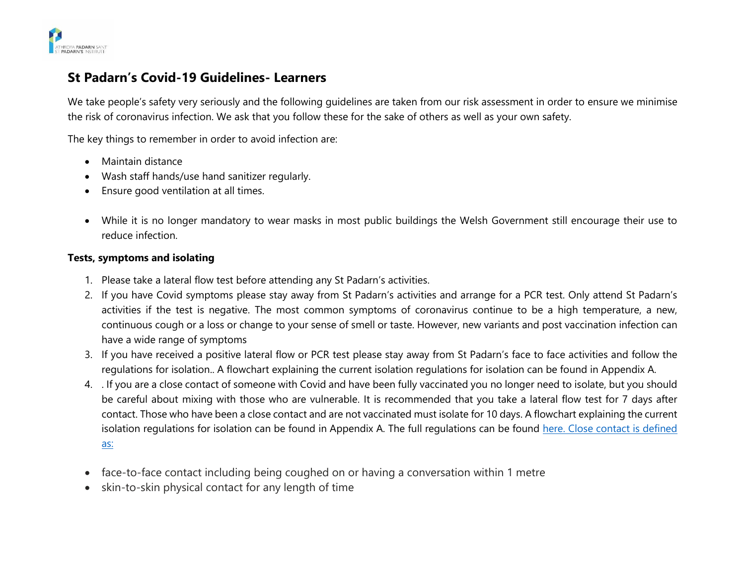

# **St Padarn's Covid-19 Guidelines- Learners**

We take people's safety very seriously and the following guidelines are taken from our risk assessment in order to ensure we minimise the risk of coronavirus infection. We ask that you follow these for the sake of others as well as your own safety.

The key things to remember in order to avoid infection are:

- Maintain distance
- Wash staff hands/use hand sanitizer regularly.
- Ensure good ventilation at all times.
- While it is no longer mandatory to wear masks in most public buildings the Welsh Government still encourage their use to reduce infection.

### **Tests, symptoms and isolating**

- 1. Please take a lateral flow test before attending any St Padarn's activities.
- 2. If you have Covid symptoms please stay away from St Padarn's activities and arrange for a PCR test. Only attend St Padarn's activities if the test is negative. The most common symptoms of coronavirus continue to be a high temperature, a new, continuous cough or a loss or change to your sense of smell or taste. However, new variants and post vaccination infection can have a wide range of symptoms
- 3. If you have received a positive lateral flow or PCR test please stay away from St Padarn's face to face activities and follow the regulations for isolation.. A flowchart explaining the current isolation regulations for isolation can be found in Appendix A.
- 4. . If you are a close contact of someone with Covid and have been fully vaccinated you no longer need to isolate, but you should be careful about mixing with those who are vulnerable. It is recommended that you take a lateral flow test for 7 days after contact. Those who have been a close contact and are not vaccinated must isolate for 10 days. A flowchart explaining the current isolation regulations for isolation can be found in Appendix A. The full regulations can be found [here.](https://gov.wales/self-isolation) Close contact is defined as:
- face-to-face contact including being coughed on or having a conversation within 1 metre
- skin-to-skin physical contact for any length of time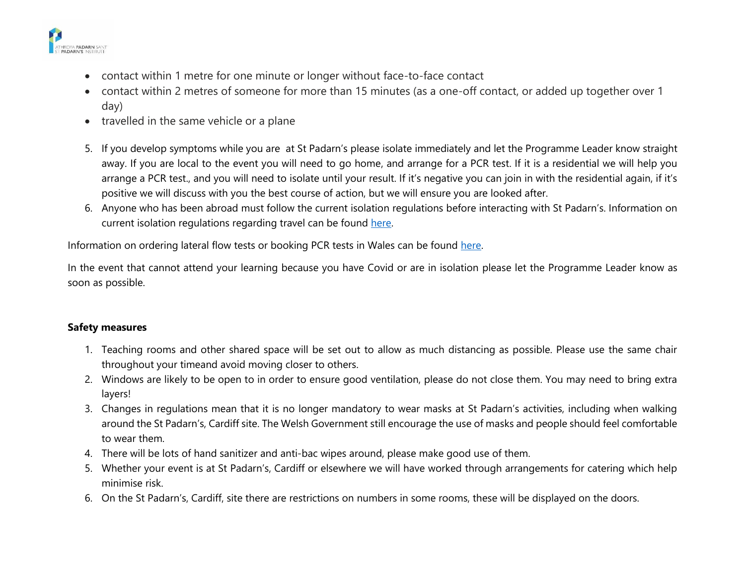

- contact within 1 metre for one minute or longer without face-to-face contact
- contact within 2 metres of someone for more than 15 minutes (as a one-off contact, or added up together over 1 day)
- travelled in the same vehicle or a plane
- 5. If you develop symptoms while you are at St Padarn's please isolate immediately and let the Programme Leader know straight away. If you are local to the event you will need to go home, and arrange for a PCR test. If it is a residential we will help you arrange a PCR test., and you will need to isolate until your result. If it's negative you can join in with the residential again, if it's positive we will discuss with you the best course of action, but we will ensure you are looked after.
- 6. Anyone who has been abroad must follow the current isolation regulations before interacting with St Padarn's. Information on current isolation regulations regarding travel can be found [here.](https://gov.wales/how-isolate-when-you-travel-wales-coronavirus-covid-19)

Information on ordering lateral flow tests or booking PCR tests in Wales can be found [here.](https://gov.wales/get-tested-coronavirus-covid-19)

In the event that cannot attend your learning because you have Covid or are in isolation please let the Programme Leader know as soon as possible.

### **Safety measures**

- 1. Teaching rooms and other shared space will be set out to allow as much distancing as possible. Please use the same chair throughout your timeand avoid moving closer to others.
- 2. Windows are likely to be open to in order to ensure good ventilation, please do not close them. You may need to bring extra layers!
- 3. Changes in regulations mean that it is no longer mandatory to wear masks at St Padarn's activities, including when walking around the St Padarn's, Cardiff site. The Welsh Government still encourage the use of masks and people should feel comfortable to wear them.
- 4. There will be lots of hand sanitizer and anti-bac wipes around, please make good use of them.
- 5. Whether your event is at St Padarn's, Cardiff or elsewhere we will have worked through arrangements for catering which help minimise risk.
- 6. On the St Padarn's, Cardiff, site there are restrictions on numbers in some rooms, these will be displayed on the doors.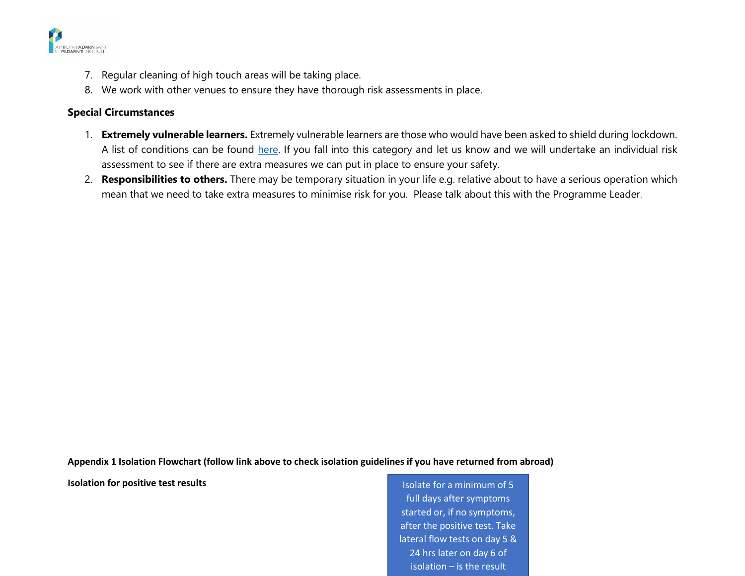

- 7. Regular cleaning of high touch areas will be taking place.
- 8. We work with other venues to ensure they have thorough risk assessments in place.

## **Special Circumstances**

- 1. **Extremely vulnerable learners.** Extremely vulnerable learners are those who would have been asked to shield during lockdown. A list of conditions can be found [here.](https://gov.wales/guidance-on-shielding-and-protecting-people-defined-on-medical-grounds-as-extremely-vulnerable-from-coronavirus-covid-19-html#section-38728) If you fall into this category and let us know and we will undertake an individual risk assessment to see if there are extra measures we can put in place to ensure your safety.
- 2. **Responsibilities to others.** There may be temporary situation in your life e.g. relative about to have a serious operation which mean that we need to take extra measures to minimise risk for you. Please talk about this with the Programme Leader.

**Appendix 1 Isolation Flowchart (follow link above to check isolation guidelines if you have returned from abroad)**

**Isolation for positive test results Isolation for positive test results Isolate for a minimum of 5** 

full days after symptoms started or, if no symptoms, after the positive test. Take lateral flow tests on day 5 & 24 hrs later on day 6 of isolation – is the result